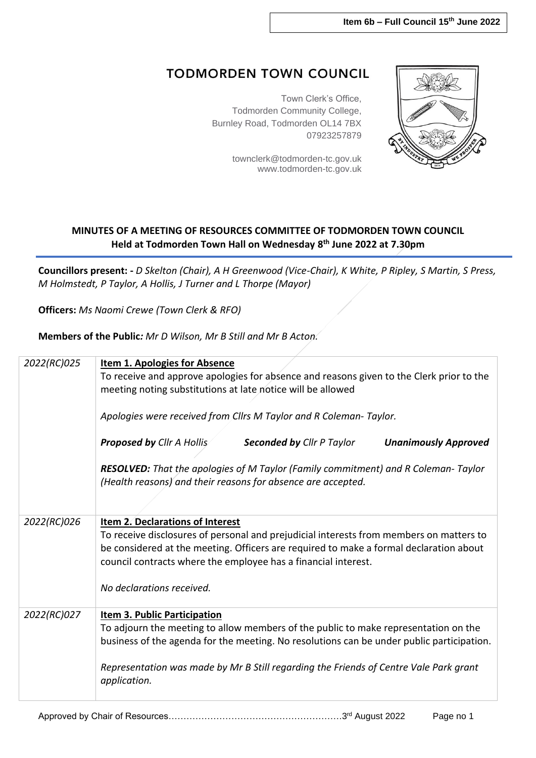## **TODMORDEN TOWN COUNCIL**

Town Clerk's Office, Todmorden Community College, Burnley Road, Todmorden OL14 7BX 07923257879

> [townclerk@todmorden-tc.gov.uk](mailto:townclerk@todmorden-tc.gov.uk) www.todmorden-tc.gov.uk



## **MINUTES OF A MEETING OF RESOURCES COMMITTEE OF TODMORDEN TOWN COUNCIL Held at Todmorden Town Hall on Wednesday 8 th June 2022 at 7.30pm**

**Councillors present: -** *D Skelton (Chair), A H Greenwood (Vice-Chair), K White, P Ripley, S Martin, S Press, M Holmstedt, P Taylor, A Hollis, J Turner and L Thorpe (Mayor)*

**Officers:** *Ms Naomi Crewe (Town Clerk & RFO)*

**Members of the Public***: Mr D Wilson, Mr B Still and Mr B Acton.*

| <b>Item 1. Apologies for Absence</b><br>To receive and approve apologies for absence and reasons given to the Clerk prior to the<br>meeting noting substitutions at late notice will be allowed<br>Apologies were received from Cllrs M Taylor and R Coleman- Taylor.                                                            |  |  |  |
|----------------------------------------------------------------------------------------------------------------------------------------------------------------------------------------------------------------------------------------------------------------------------------------------------------------------------------|--|--|--|
| <b>Proposed by Cllr A Hollis</b><br><b>Seconded by Cllr P Taylor</b><br><b>Unanimously Approved</b>                                                                                                                                                                                                                              |  |  |  |
| RESOLVED: That the apologies of M Taylor (Family commitment) and R Coleman-Taylor<br>(Health reasons) and their reasons for absence are accepted.                                                                                                                                                                                |  |  |  |
| <b>Item 2. Declarations of Interest</b><br>To receive disclosures of personal and prejudicial interests from members on matters to<br>be considered at the meeting. Officers are required to make a formal declaration about<br>council contracts where the employee has a financial interest.<br>No declarations received.      |  |  |  |
| <b>Item 3. Public Participation</b><br>To adjourn the meeting to allow members of the public to make representation on the<br>business of the agenda for the meeting. No resolutions can be under public participation.<br>Representation was made by Mr B Still regarding the Friends of Centre Vale Park grant<br>application. |  |  |  |
|                                                                                                                                                                                                                                                                                                                                  |  |  |  |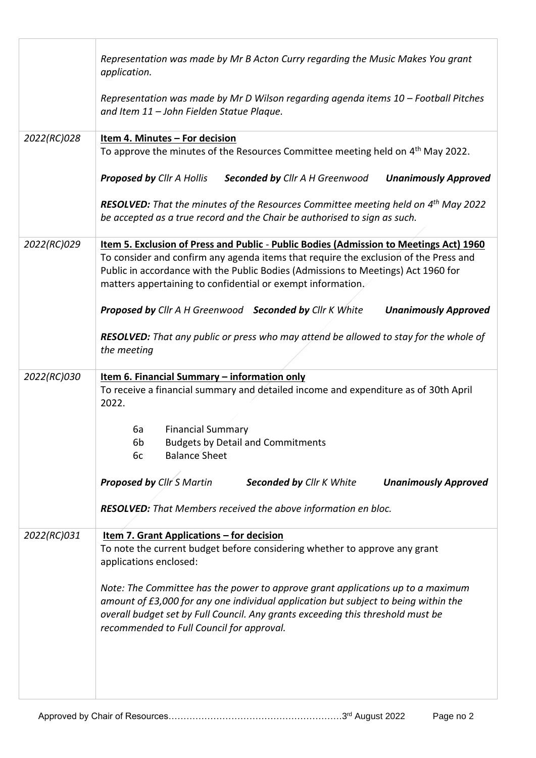|             | Representation was made by Mr B Acton Curry regarding the Music Makes You grant<br>application.                                                                                                                                                                                                        |
|-------------|--------------------------------------------------------------------------------------------------------------------------------------------------------------------------------------------------------------------------------------------------------------------------------------------------------|
|             | Representation was made by Mr D Wilson regarding agenda items 10 - Football Pitches<br>and Item 11 - John Fielden Statue Plaque.                                                                                                                                                                       |
| 2022(RC)028 | Item 4. Minutes - For decision                                                                                                                                                                                                                                                                         |
|             | To approve the minutes of the Resources Committee meeting held on 4 <sup>th</sup> May 2022.                                                                                                                                                                                                            |
|             | <b>Proposed by Cllr A Hollis</b><br>Seconded by Cllr A H Greenwood<br><b>Unanimously Approved</b>                                                                                                                                                                                                      |
|             | <b>RESOLVED:</b> That the minutes of the Resources Committee meeting held on $4th$ May 2022<br>be accepted as a true record and the Chair be authorised to sign as such.                                                                                                                               |
| 2022(RC)029 | Item 5. Exclusion of Press and Public - Public Bodies (Admission to Meetings Act) 1960                                                                                                                                                                                                                 |
|             | To consider and confirm any agenda items that require the exclusion of the Press and<br>Public in accordance with the Public Bodies (Admissions to Meetings) Act 1960 for<br>matters appertaining to confidential or exempt information.                                                               |
|             | Proposed by Cllr A H Greenwood Seconded by Cllr K White<br><b>Unanimously Approved</b>                                                                                                                                                                                                                 |
|             | <b>RESOLVED:</b> That any public or press who may attend be allowed to stay for the whole of<br>the meeting                                                                                                                                                                                            |
| 2022(RC)030 | Item 6. Financial Summary - information only                                                                                                                                                                                                                                                           |
|             | To receive a financial summary and detailed income and expenditure as of 30th April<br>2022.                                                                                                                                                                                                           |
|             | <b>Financial Summary</b><br>6а                                                                                                                                                                                                                                                                         |
|             | 6b<br><b>Budgets by Detail and Commitments</b>                                                                                                                                                                                                                                                         |
|             | <b>Balance Sheet</b><br>6c                                                                                                                                                                                                                                                                             |
|             | <b>Proposed by Cllr S Martin</b><br><b>Seconded by Cllr K White</b><br><b>Unanimously Approved</b>                                                                                                                                                                                                     |
|             | RESOLVED: That Members received the above information en bloc.                                                                                                                                                                                                                                         |
| 2022(RC)031 | <u>Item 7. Grant Applications - for decision</u><br>To note the current budget before considering whether to approve any grant<br>applications enclosed:                                                                                                                                               |
|             | Note: The Committee has the power to approve grant applications up to a maximum<br>amount of £3,000 for any one individual application but subject to being within the<br>overall budget set by Full Council. Any grants exceeding this threshold must be<br>recommended to Full Council for approval. |
|             |                                                                                                                                                                                                                                                                                                        |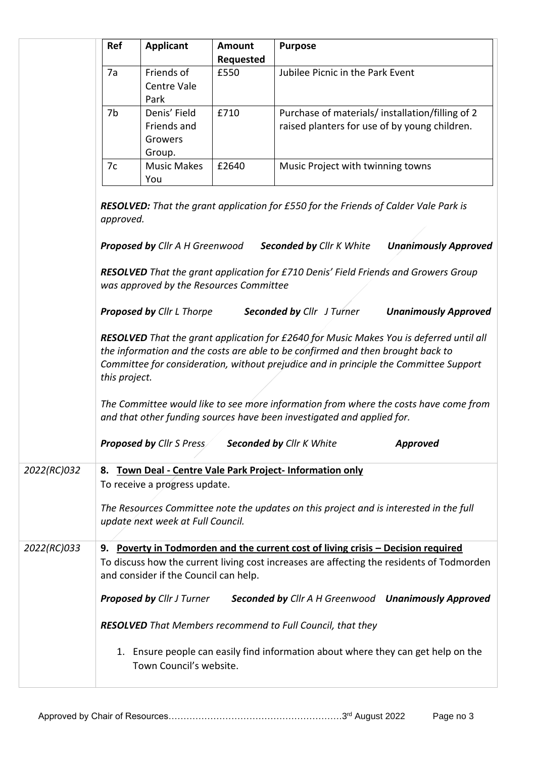|             | Ref                                                                                                                                                                                                                                                                                  | <b>Applicant</b>                                                                 | <b>Amount</b><br><b>Requested</b> | <b>Purpose</b>                                                                                                                                                              |  |  |
|-------------|--------------------------------------------------------------------------------------------------------------------------------------------------------------------------------------------------------------------------------------------------------------------------------------|----------------------------------------------------------------------------------|-----------------------------------|-----------------------------------------------------------------------------------------------------------------------------------------------------------------------------|--|--|
|             | 7a                                                                                                                                                                                                                                                                                   | Friends of<br>Centre Vale<br>Park                                                | £550                              | Jubilee Picnic in the Park Event                                                                                                                                            |  |  |
|             | 7b                                                                                                                                                                                                                                                                                   | Denis' Field<br>Friends and<br>Growers<br>Group.                                 | £710                              | Purchase of materials/installation/filling of 2<br>raised planters for use of by young children.                                                                            |  |  |
|             | 7c                                                                                                                                                                                                                                                                                   | <b>Music Makes</b><br>You                                                        | £2640                             | Music Project with twinning towns                                                                                                                                           |  |  |
|             | approved.                                                                                                                                                                                                                                                                            |                                                                                  |                                   | <b>RESOLVED:</b> That the grant application for £550 for the Friends of Calder Vale Park is                                                                                 |  |  |
|             |                                                                                                                                                                                                                                                                                      | <b>Proposed by Cllr A H Greenwood</b><br>was approved by the Resources Committee |                                   | <b>Seconded by Cllr K White</b><br><b>Unanimously Approved</b><br><b>RESOLVED</b> That the grant application for £710 Denis' Field Friends and Growers Group                |  |  |
|             |                                                                                                                                                                                                                                                                                      | Proposed by Cllr L Thorpe                                                        |                                   | <b>Seconded by Cllr</b> J Turner<br><b>Unanimously Approved</b>                                                                                                             |  |  |
|             | RESOLVED That the grant application for £2640 for Music Makes You is deferred until all<br>the information and the costs are able to be confirmed and then brought back to<br>Committee for consideration, without prejudice and in principle the Committee Support<br>this project. |                                                                                  |                                   |                                                                                                                                                                             |  |  |
|             |                                                                                                                                                                                                                                                                                      |                                                                                  |                                   | The Committee would like to see more information from where the costs have come from<br>and that other funding sources have been investigated and applied for.              |  |  |
|             |                                                                                                                                                                                                                                                                                      | <b>Proposed by Cllr S Press</b>                                                  |                                   | <b>Seconded by Cllr K White</b><br><b>Approved</b>                                                                                                                          |  |  |
| 2022(RC)032 | 8.                                                                                                                                                                                                                                                                                   | To receive a progress update.                                                    |                                   | Town Deal - Centre Vale Park Project- Information only                                                                                                                      |  |  |
|             |                                                                                                                                                                                                                                                                                      | update next week at Full Council.                                                |                                   | The Resources Committee note the updates on this project and is interested in the full                                                                                      |  |  |
| 2022(RC)033 | 9.                                                                                                                                                                                                                                                                                   | and consider if the Council can help.                                            |                                   | Poverty in Todmorden and the current cost of living crisis - Decision required<br>To discuss how the current living cost increases are affecting the residents of Todmorden |  |  |
|             |                                                                                                                                                                                                                                                                                      | <b>Proposed by Cllr J Turner</b>                                                 |                                   | Seconded by Cllr A H Greenwood Unanimously Approved                                                                                                                         |  |  |
|             |                                                                                                                                                                                                                                                                                      |                                                                                  |                                   | <b>RESOLVED</b> That Members recommend to Full Council, that they                                                                                                           |  |  |
|             |                                                                                                                                                                                                                                                                                      | Town Council's website.                                                          |                                   | 1. Ensure people can easily find information about where they can get help on the                                                                                           |  |  |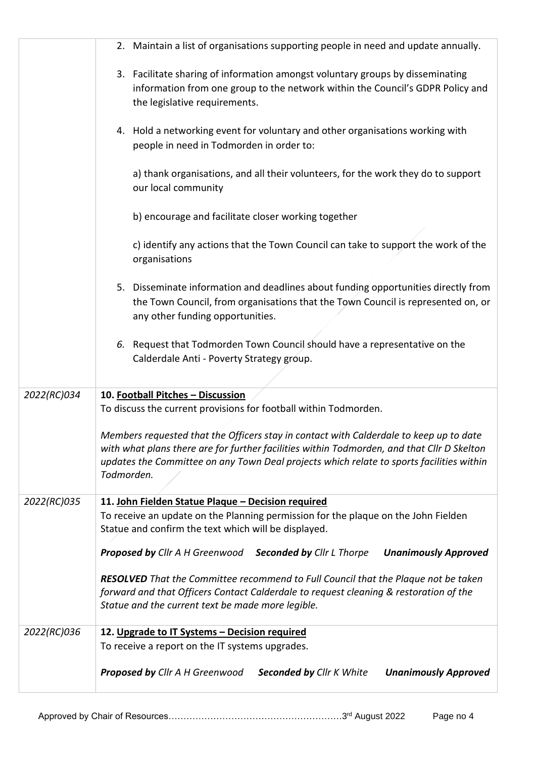|             | 2. Maintain a list of organisations supporting people in need and update annually.                                                                                                                                                                                                             |
|-------------|------------------------------------------------------------------------------------------------------------------------------------------------------------------------------------------------------------------------------------------------------------------------------------------------|
|             | 3. Facilitate sharing of information amongst voluntary groups by disseminating<br>information from one group to the network within the Council's GDPR Policy and<br>the legislative requirements.                                                                                              |
|             | 4. Hold a networking event for voluntary and other organisations working with<br>people in need in Todmorden in order to:                                                                                                                                                                      |
|             | a) thank organisations, and all their volunteers, for the work they do to support<br>our local community                                                                                                                                                                                       |
|             | b) encourage and facilitate closer working together                                                                                                                                                                                                                                            |
|             | c) identify any actions that the Town Council can take to support the work of the<br>organisations                                                                                                                                                                                             |
|             | 5. Disseminate information and deadlines about funding opportunities directly from<br>the Town Council, from organisations that the Town Council is represented on, or<br>any other funding opportunities.                                                                                     |
|             | 6. Request that Todmorden Town Council should have a representative on the<br>Calderdale Anti - Poverty Strategy group.                                                                                                                                                                        |
| 2022(RC)034 | 10. Football Pitches - Discussion<br>To discuss the current provisions for football within Todmorden.                                                                                                                                                                                          |
|             | Members requested that the Officers stay in contact with Calderdale to keep up to date<br>with what plans there are for further facilities within Todmorden, and that Cllr D Skelton<br>updates the Committee on any Town Deal projects which relate to sports facilities within<br>Todmorden. |
| 2022(RC)035 | 11. John Fielden Statue Plaque - Decision required<br>To receive an update on the Planning permission for the plaque on the John Fielden                                                                                                                                                       |
|             | Statue and confirm the text which will be displayed.                                                                                                                                                                                                                                           |
|             | Proposed by Cllr A H Greenwood Seconded by Cllr L Thorpe<br><b>Unanimously Approved</b>                                                                                                                                                                                                        |
|             | <b>RESOLVED</b> That the Committee recommend to Full Council that the Plaque not be taken<br>forward and that Officers Contact Calderdale to request cleaning & restoration of the<br>Statue and the current text be made more legible.                                                        |
| 2022(RC)036 | 12. Upgrade to IT Systems - Decision required                                                                                                                                                                                                                                                  |
|             | To receive a report on the IT systems upgrades.                                                                                                                                                                                                                                                |
|             | Proposed by Cllr A H Greenwood<br><b>Seconded by Cllr K White</b><br><b>Unanimously Approved</b>                                                                                                                                                                                               |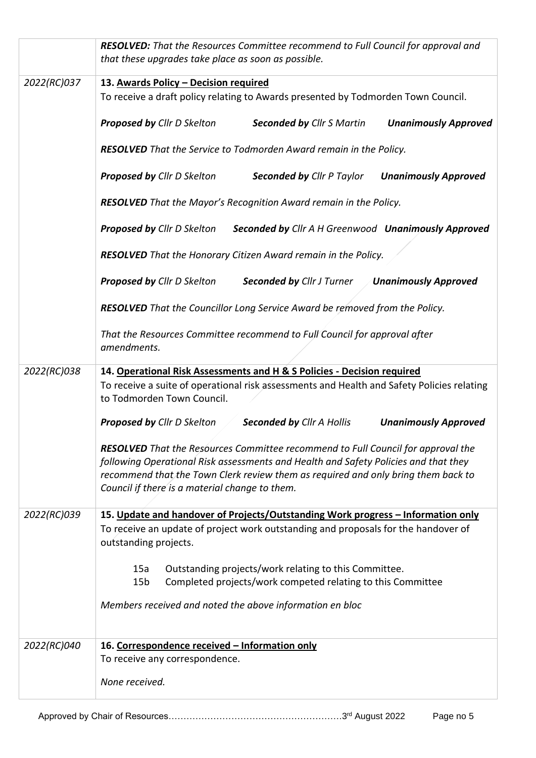|             | <b>RESOLVED:</b> That the Resources Committee recommend to Full Council for approval and<br>that these upgrades take place as soon as possible.                                                                                                                                                                       |  |  |  |
|-------------|-----------------------------------------------------------------------------------------------------------------------------------------------------------------------------------------------------------------------------------------------------------------------------------------------------------------------|--|--|--|
| 2022(RC)037 | 13. Awards Policy - Decision required<br>To receive a draft policy relating to Awards presented by Todmorden Town Council.                                                                                                                                                                                            |  |  |  |
|             | <b>Proposed by Cllr D Skelton</b><br><b>Seconded by Cllr S Martin</b><br><b>Unanimously Approved</b>                                                                                                                                                                                                                  |  |  |  |
|             | RESOLVED That the Service to Todmorden Award remain in the Policy.                                                                                                                                                                                                                                                    |  |  |  |
|             | Proposed by Cllr D Skelton<br><b>Seconded by Cllr P Taylor</b><br><b>Unanimously Approved</b>                                                                                                                                                                                                                         |  |  |  |
|             | RESOLVED That the Mayor's Recognition Award remain in the Policy.                                                                                                                                                                                                                                                     |  |  |  |
|             | <b>Proposed by Cllr D Skelton</b><br>Seconded by Cllr A H Greenwood Unanimously Approved                                                                                                                                                                                                                              |  |  |  |
|             | RESOLVED That the Honorary Citizen Award remain in the Policy.                                                                                                                                                                                                                                                        |  |  |  |
|             | <b>Proposed by Cllr D Skelton</b><br><b>Seconded by Cllr J Turner</b><br><b>Unanimously Approved</b>                                                                                                                                                                                                                  |  |  |  |
|             | <b>RESOLVED</b> That the Councillor Long Service Award be removed from the Policy.                                                                                                                                                                                                                                    |  |  |  |
|             | That the Resources Committee recommend to Full Council for approval after<br>amendments.                                                                                                                                                                                                                              |  |  |  |
| 2022(RC)038 | 14. Operational Risk Assessments and H & S Policies - Decision required<br>To receive a suite of operational risk assessments and Health and Safety Policies relating<br>to Todmorden Town Council.                                                                                                                   |  |  |  |
|             | <b>Proposed by Cllr D Skelton</b><br>Seconded by Cllr A Hollis<br><b>Unanimously Approved</b>                                                                                                                                                                                                                         |  |  |  |
|             | <b>RESOLVED</b> That the Resources Committee recommend to Full Council for approval the<br>following Operational Risk assessments and Health and Safety Policies and that they<br>recommend that the Town Clerk review them as required and only bring them back to<br>Council if there is a material change to them. |  |  |  |
| 2022(RC)039 | 15. Update and handover of Projects/Outstanding Work progress - Information only                                                                                                                                                                                                                                      |  |  |  |
|             | To receive an update of project work outstanding and proposals for the handover of<br>outstanding projects.                                                                                                                                                                                                           |  |  |  |
|             | Outstanding projects/work relating to this Committee.<br>15a<br>Completed projects/work competed relating to this Committee<br>15 <sub>b</sub>                                                                                                                                                                        |  |  |  |
|             | Members received and noted the above information en bloc                                                                                                                                                                                                                                                              |  |  |  |
| 2022(RC)040 | 16. Correspondence received - Information only                                                                                                                                                                                                                                                                        |  |  |  |
|             | To receive any correspondence.                                                                                                                                                                                                                                                                                        |  |  |  |
|             | None received.                                                                                                                                                                                                                                                                                                        |  |  |  |